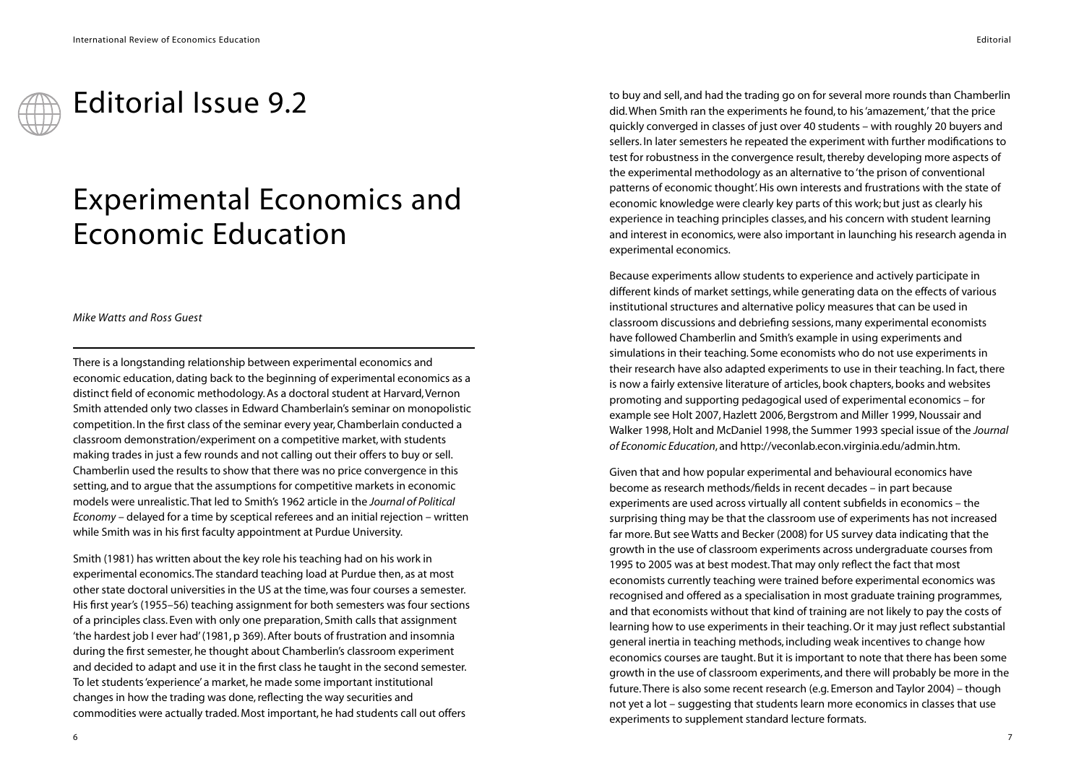

## Editorial Issue 9.2

## Experimental Economics and Economic Education

*Mike Watts and Ross Guest*

There is a longstanding relationship between experimental economics and economic education, dating back to the beginning of experimental economics as a distinct field of economic methodology. As a doctoral student at Harvard, Vernon Smith attended only two classes in Edward Chamberlain's seminar on monopolistic competition. In the first class of the seminar every year, Chamberlain conducted a classroom demonstration/experiment on a competitive market, with students making trades in just a few rounds and not calling out their offers to buy or sell. Chamberlin used the results to show that there was no price convergence in this setting, and to argue that the assumptions for competitive markets in economic models were unrealistic.That led to Smith's 1962 article in the *Journal of Political Economy* – delayed for a time by sceptical referees and an initial rejection – written while Smith was in his first faculty appointment at Purdue University.

Smith (1981) has written about the key role his teaching had on his work in experimental economics.The standard teaching load at Purdue then, as at most other state doctoral universities in the US at the time, was four courses a semester. His first year's (1955–56) teaching assignment for both semesters was four sections of a principles class. Even with only one preparation, Smith calls that assignment 'the hardest job I ever had' (1981, p 369). After bouts of frustration and insomnia during the first semester, he thought about Chamberlin's classroom experiment and decided to adapt and use it in the first class he taught in the second semester. To let students 'experience' a market, he made some important institutional changes in how the trading was done, reflecting the way securities and commodities were actually traded. Most important, he had students call out offers

to buy and sell, and had the trading go on for several more rounds than Chamberlin did.When Smith ran the experiments he found, to his 'amazement,' that the price quickly converged in classes of just over 40 students – with roughly 20 buyers and sellers. In later semesters he repeated the experiment with further modifications to test for robustness in the convergence result, thereby developing more aspects of the experimental methodology as an alternative to 'the prison of conventional patterns of economic thought'. His own interests and frustrations with the state of economic knowledge were clearly key parts of this work; but just as clearly his experience in teaching principles classes, and his concern with student learning and interest in economics, were also important in launching his research agenda in experimental economics.

Because experiments allow students to experience and actively participate in different kinds of market settings, while generating data on the effects of various institutional structures and alternative policy measures that can be used in classroom discussions and debriefing sessions, many experimental economists have followed Chamberlin and Smith's example in using experiments and simulations in their teaching. Some economists who do not use experiments in their research have also adapted experiments to use in their teaching. In fact, there is now a fairly extensive literature of articles, book chapters, books and websites promoting and supporting pedagogical used of experimental economics – for example see Holt 2007, Hazlett 2006, Bergstrom and Miller 1999, Noussair and Walker 1998, Holt and McDaniel 1998, the Summer 1993 special issue of the *Journal of Economic Education*, and http://veconlab.econ.virginia.edu/admin.htm.

Given that and how popular experimental and behavioural economics have become as research methods/fields in recent decades – in part because experiments are used across virtually all content subfields in economics – the surprising thing may be that the classroom use of experiments has not increased far more. But see Watts and Becker (2008) for US survey data indicating that the growth in the use of classroom experiments across undergraduate courses from 1995 to 2005 was at best modest.That may only reflect the fact that most economists currently teaching were trained before experimental economics was recognised and offered as a specialisation in most graduate training programmes, and that economists without that kind of training are not likely to pay the costs of learning how to use experiments in their teaching. Or it may just reflect substantial general inertia in teaching methods, including weak incentives to change how economics courses are taught. But it is important to note that there has been some growth in the use of classroom experiments, and there will probably be more in the future.There is also some recent research (e.g. Emerson and Taylor 2004) – though not yet a lot – suggesting that students learn more economics in classes that use experiments to supplement standard lecture formats.